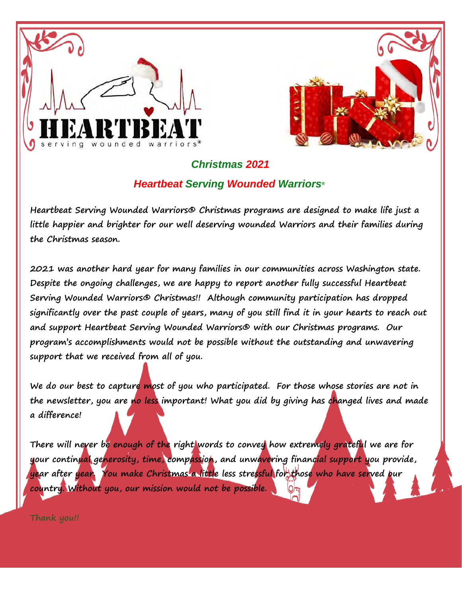



## *Christmas 2021 Heartbeat Serving Wounded Warriors®*

**Heartbeat Serving Wounded Warriors® Christmas programs are designed to make life just a little happier and brighter for our well deserving wounded Warriors and their families during the Christmas season.** 

**2021 was another hard year for many families in our communities across Washington state. Despite the ongoing challenges, we are happy to report another fully successful Heartbeat Serving Wounded Warriors® Christmas!! Although community participation has dropped significantly over the past couple of years, many of you still find it in your hearts to reach out and support Heartbeat Serving Wounded Warriors® with our Christmas programs. Our program's accomplishments would not be possible without the outstanding and unwavering support that we received from all of you.** 

**We do our best to capture most of you who participated. For those whose stories are not in the newsletter, you are no less important! What you did by giving has changed lives and made a difference!**

**There will never be enough of the right words to convey how extremely grateful we are for your continual generosity, time, compassion, and unwavering financial support you provide, year after year. You make Christmas a little less stressful for those who have served our country. Without you, our mission would not be possible.**

**Thank you!!**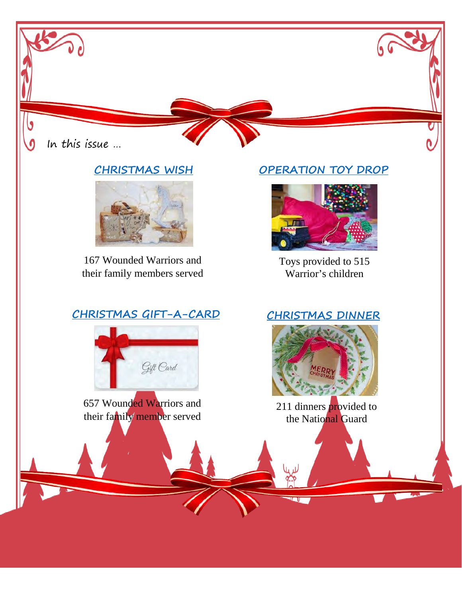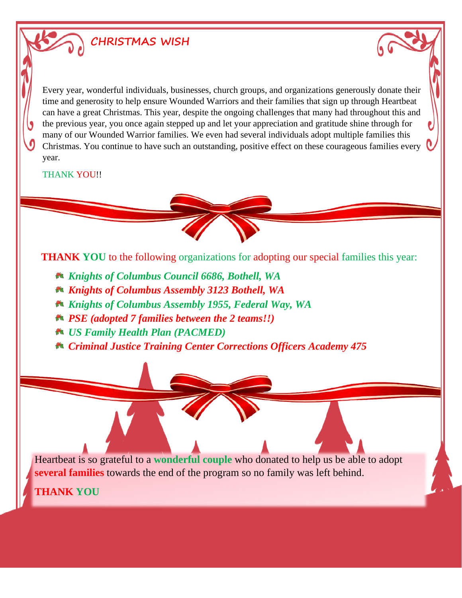# <span id="page-2-0"></span>**CHRISTMAS WISH**

Every year, wonderful individuals, businesses, church groups, and organizations generously donate their time and generosity to help ensure Wounded Warriors and their families that sign up through Heartbeat can have a great Christmas. This year, despite the ongoing challenges that many had throughout this and the previous year, you once again stepped up and let your appreciation and gratitude shine through for many of our Wounded Warrior families. We even had several individuals adopt multiple families this Christmas. You continue to have such an outstanding, positive effect on these courageous families every year.

#### THANK YOU!!

**THANK YOU** to the following organizations for adopting our special families this year:

- *Knights of Columbus Council 6686, Bothell, WA*
- *Knights of Columbus Assembly 3123 Bothell, WA*
- *Knights of Columbus Assembly 1955, Federal Way, WA*
- *PSE (adopted 7 families between the 2 teams!!)*
- *US Family Health Plan (PACMED)*
- *Criminal Justice Training Center Corrections Officers Academy 475*

Heartbeat is so grateful to a **wonderful couple** who donated to help us be able to adopt **several families** towards the end of the program so no family was left behind.

**THANK YOU**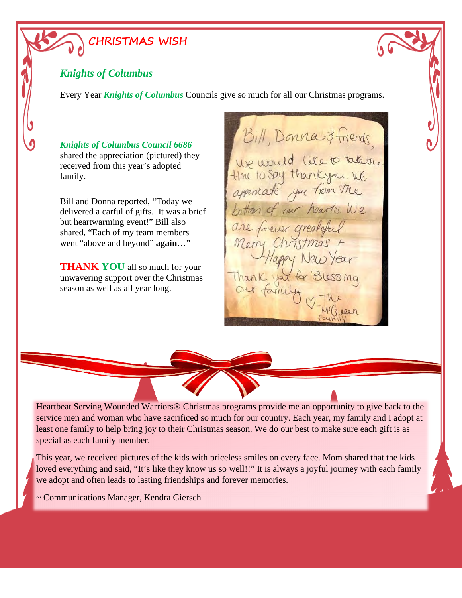# **CHRISTMAS WISH**

#### *Knights of Columbus*

Every Year *Knights of Columbus* Councils give so much for all our Christmas programs.

*Knights of Columbus Council 6686* shared the appreciation (pictured) they received from this year's adopted family.

Bill and Donna reported, "Today we delivered a carful of gifts. It was a brief but heartwarming event!" Bill also shared, "Each of my team members went "above and beyond" **again**…"

**THANK YOU** all so much for your unwavering support over the Christmas season as well as all year long.

Bill, Donna \$friends We would like to takethe appencate you from the bottom of our hearts. We are forever greateful. appy New Year Thank you for Blessing our fam 19 reen



Heartbeat Serving Wounded Warriors**®** Christmas programs provide me an opportunity to give back to the service men and woman who have sacrificed so much for our country. Each year, my family and I adopt at least one family to help bring joy to their Christmas season. We do our best to make sure each gift is as special as each family member.

This year, we received pictures of the kids with priceless smiles on every face. Mom shared that the kids loved everything and said, "It's like they know us so well!!" It is always a joyful journey with each family we adopt and often leads to lasting friendships and forever memories.

~ Communications Manager, Kendra Giersch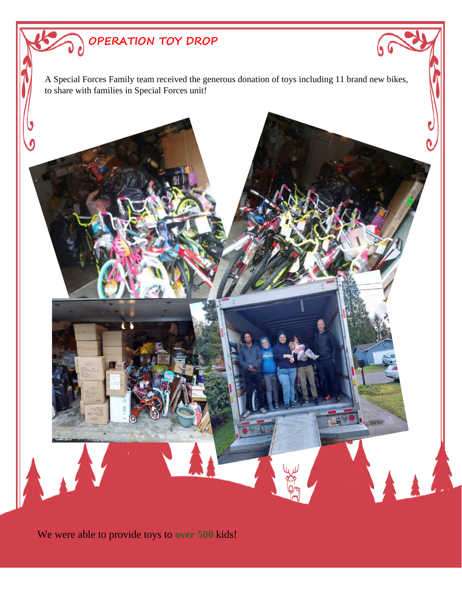<span id="page-4-0"></span>

We were able to provide toys to **over 500** kids!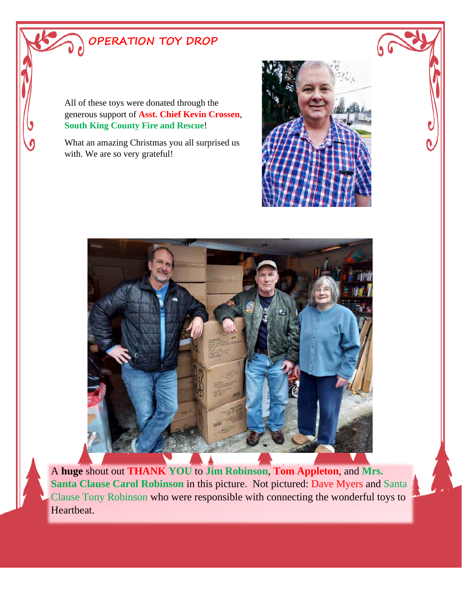# **OPERATION TOY DROP**

All of these toys were donated through the generous support of **Asst. Chief Kevin Crossen**, **South King County Fire and Rescue**!

What an amazing Christmas you all surprised us with. We are so very grateful!





A **huge** shout out **THANK YOU** to **Jim Robinson**, **Tom Appleton**, and **Mrs. Santa Clause Carol Robinson** in this picture. Not pictured: Dave Myers and Santa Clause Tony Robinson who were responsible with connecting the wonderful toys to Heartbeat.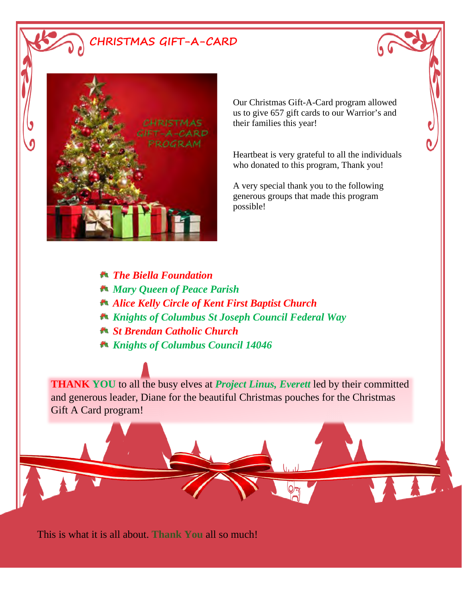<span id="page-6-0"></span>**CHRISTMAS GIFT-A-CARD**



Our Christmas Gift-A-Card program allowed us to give 657 gift cards to our Warrior's and their families this year!

Heartbeat is very grateful to all the individuals who donated to this program, Thank you!

A very special thank you to the following generous groups that made this program possible!

- *The Biella Foundation*
- *Mary Queen of Peace Parish*
- *Alice Kelly Circle of Kent First Baptist Church*
- *Knights of Columbus St Joseph Council Federal Way*
- *St Brendan Catholic Church*
- *Knights of Columbus Council 14046*

**THANK YOU** to all the busy elves at *Project Linus, Everett* led by their committed and generous leader, Diane for the beautiful Christmas pouches for the Christmas Gift A Card program!

This is what it is all about. **Thank You** all so much!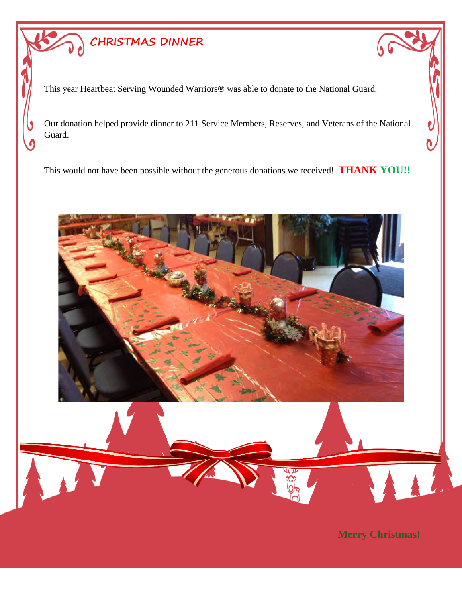# <span id="page-7-0"></span>**CHRISTMAS DINNER**

This year Heartbeat Serving Wounded Warriors**®** was able to donate to the National Guard.

Our donation helped provide dinner to 211 Service Members, Reserves, and Veterans of the National Guard.

This would not have been possible without the generous donations we received! **THANK YOU!!**



**Merry Christmas!**